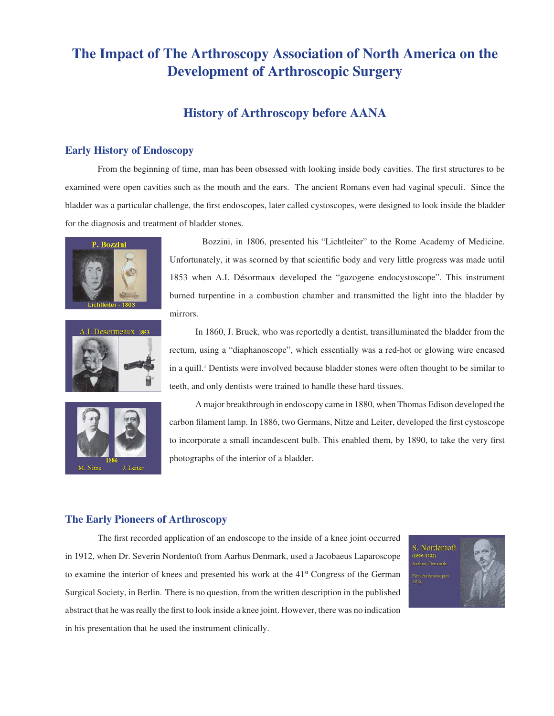# **The Impact of The Arthroscopy Association of North America on the Development of Arthroscopic Surgery**

## **History of Arthroscopy before AANA**

#### **Early History of Endoscopy**

From the beginning of time, man has been obsessed with looking inside body cavities. The first structures to be examined were open cavities such as the mouth and the ears. The ancient Romans even had vaginal speculi. Since the bladder was a particular challenge, the first endoscopes, later called cystoscopes, were designed to look inside the bladder for the diagnosis and treatment of bladder stones.





Bozzini, in 1806, presented his "Lichtleiter" to the Rome Academy of Medicine. Unfortunately, it was scorned by that scientific body and very little progress was made until 1853 when A.I. Désormaux developed the "gazogene endocystoscope". This instrument burned turpentine in a combustion chamber and transmitted the light into the bladder by mirrors.

 In 1860, J. Bruck, who was reportedly a dentist, transilluminated the bladder from the rectum, using a "diaphanoscope", which essentially was a red-hot or glowing wire encased in a quill.<sup>1</sup> Dentists were involved because bladder stones were often thought to be similar to teeth, and only dentists were trained to handle these hard tissues.



 A major breakthrough in endoscopy came in 1880, when Thomas Edison developed the carbon filament lamp. In 1886, two Germans, Nitze and Leiter, developed the first cystoscope to incorporate a small incandescent bulb. This enabled them, by 1890, to take the very first photographs of the interior of a bladder.

#### **The Early Pioneers of Arthroscopy**

The first recorded application of an endoscope to the inside of a knee joint occurred in 1912, when Dr. Severin Nordentoft from Aarhus Denmark, used a Jacobaeus Laparoscope to examine the interior of knees and presented his work at the  $41<sup>st</sup>$  Congress of the German Surgical Society, in Berlin. There is no question, from the written description in the published abstract that he was really the first to look inside a knee joint. However, there was no indication in his presentation that he used the instrument clinically.

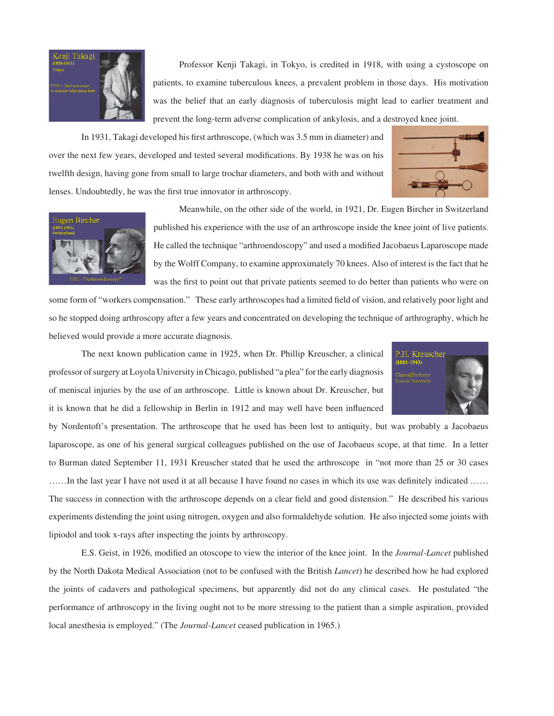

 Professor Kenji Takagi, in Tokyo, is credited in 1918, with using a cystoscope on patients, to examine tuberculous knees, a prevalent problem in those days. His motivation was the belief that an early diagnosis of tuberculosis might lead to earlier treatment and prevent the long-term adverse complication of ankylosis, and a destroyed knee joint.

In 1931, Takagi developed his first arthroscope, (which was 3.5 mm in diameter) and over the next few years, developed and tested several modifications. By 1938 he was on his twelfth design, having gone from small to large trochar diameters, and both with and without lenses. Undoubtedly, he was the first true innovator in arthroscopy.





 Meanwhile, on the other side of the world, in 1921, Dr. Eugen Bircher in Switzerland published his experience with the use of an arthroscope inside the knee joint of live patients. He called the technique "arthroendoscopy" and used a modified Jacobaeus Laparoscope made by the Wolff Company, to examine approximately 70 knees. Also of interest is the fact that he was the first to point out that private patients seemed to do better than patients who were on

some form of "workers compensation." These early arthroscopes had a limited field of vision, and relatively poor light and so he stopped doing arthroscopy after a few years and concentrated on developing the technique of arthrography, which he believed would provide a more accurate diagnosis.

 The next known publication came in 1925, when Dr. Phillip Kreuscher, a clinical professor of surgery at Loyola University in Chicago, published "a plea" for the early diagnosis of meniscal injuries by the use of an arthroscope. Little is known about Dr. Kreuscher, but it is known that he did a fellowship in Berlin in 1912 and may well have been influenced



by Nordentoft's presentation. The arthroscope that he used has been lost to antiquity, but was probably a Jacobaeus laparoscope, as one of his general surgical colleagues published on the use of Jacobaeus scope, at that time. In a letter to Burman dated September 11, 1931 Kreuscher stated that he used the arthroscope in "not more than 25 or 30 cases ......In the last year I have not used it at all because I have found no cases in which its use was definitely indicated ...... The success in connection with the arthroscope depends on a clear field and good distension." He described his various experiments distending the joint using nitrogen, oxygen and also formaldehyde solution. He also injected some joints with lipiodol and took x-rays after inspecting the joints by arthroscopy.

E.S. Geist, in 1926, modified an otoscope to view the interior of the knee joint. In the *Journal-Lancet* published by the North Dakota Medical Association (not to be confused with the British *Lancet*) he described how he had explored the joints of cadavers and pathological specimens, but apparently did not do any clinical cases. He postulated "the performance of arthroscopy in the living ought not to be more stressing to the patient than a simple aspiration, provided local anesthesia is employed." (The *Journal-Lancet* ceased publication in 1965.)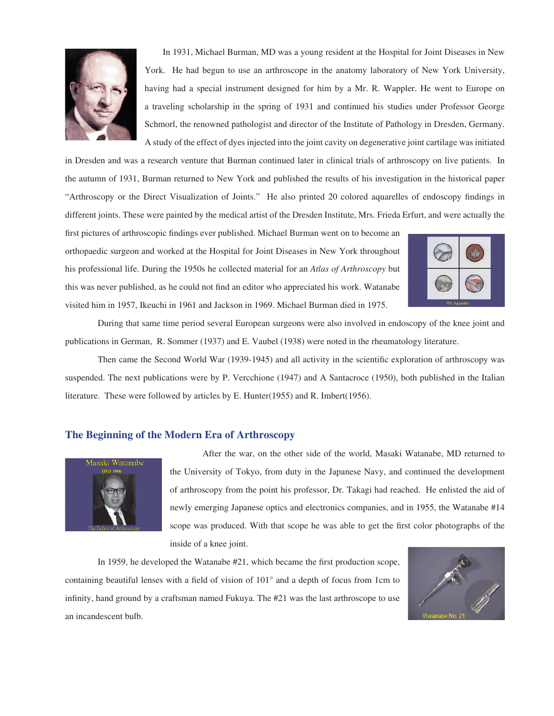

 In 1931, Michael Burman, MD was a young resident at the Hospital for Joint Diseases in New York. He had begun to use an arthroscope in the anatomy laboratory of New York University, having had a special instrument designed for him by a Mr. R. Wappler. He went to Europe on a traveling scholarship in the spring of 1931 and continued his studies under Professor George Schmorl, the renowned pathologist and director of the Institute of Pathology in Dresden, Germany. A study of the effect of dyes injected into the joint cavity on degenerative joint cartilage was initiated

in Dresden and was a research venture that Burman continued later in clinical trials of arthroscopy on live patients. In the autumn of 1931, Burman returned to New York and published the results of his investigation in the historical paper "Arthroscopy or the Direct Visualization of Joints." He also printed 20 colored aquarelles of endoscopy findings in different joints. These were painted by the medical artist of the Dresden Institute, Mrs. Frieda Erfurt, and were actually the

first pictures of arthroscopic findings ever published. Michael Burman went on to become an orthopaedic surgeon and worked at the Hospital for Joint Diseases in New York throughout his professional life. During the 1950s he collected material for an *Atlas of Arthroscopy* but this was never published, as he could not find an editor who appreciated his work. Watanabe visited him in 1957, Ikeuchi in 1961 and Jackson in 1969. Michael Burman died in 1975.



 During that same time period several European surgeons were also involved in endoscopy of the knee joint and publications in German, R. Sommer (1937) and E. Vaubel (1938) were noted in the rheumatology literature.

Then came the Second World War (1939-1945) and all activity in the scientific exploration of arthroscopy was suspended. The next publications were by P. Vercchione (1947) and A Santacroce (1950), both published in the Italian literature. These were followed by articles by E. Hunter(1955) and R. Imbert(1956).

### **The Beginning of the Modern Era of Arthroscopy**



After the war, on the other side of the world, Masaki Watanabe, MD returned to the University of Tokyo, from duty in the Japanese Navy, and continued the development of arthroscopy from the point his professor, Dr. Takagi had reached. He enlisted the aid of newly emerging Japanese optics and electronics companies, and in 1955, the Watanabe #14 scope was produced. With that scope he was able to get the first color photographs of the inside of a knee joint.

In 1959, he developed the Watanabe #21, which became the first production scope, containing beautiful lenses with a field of vision of  $101^\circ$  and a depth of focus from 1cm to infinity, hand ground by a craftsman named Fukuya. The  $#21$  was the last arthroscope to use an incandescent bulb.